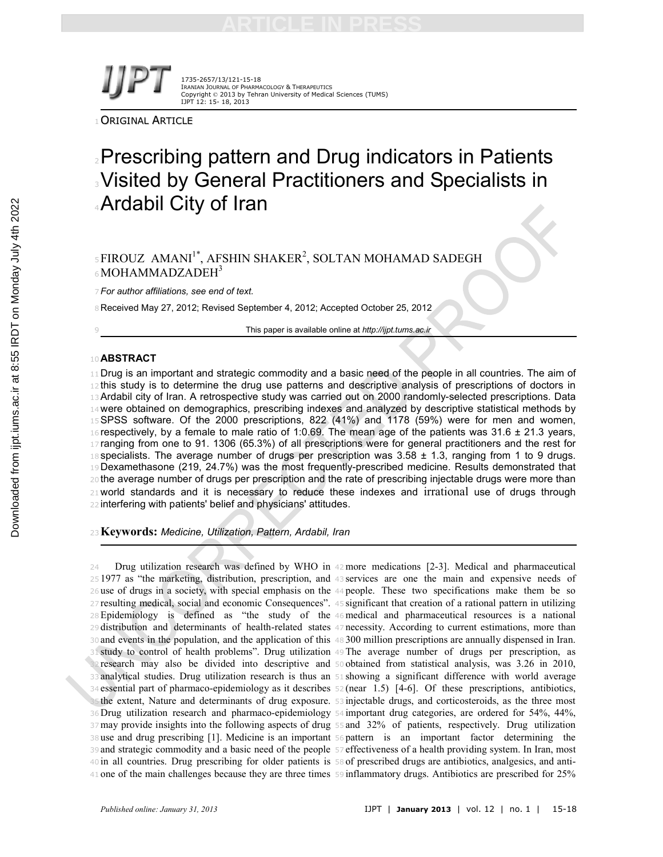1735-2657/13/121-15-18 IRANIAN JOURNAL OF PHARMACOLOGY & THERAPEUTICS Copyright © 2013 by Tehran University of Medical Sciences (TUMS) IJPT 12: 15- 18, 2013

ORIGINAL ARTICLE

# **Prescribing pattern and Drug indicators in Patients** Visited by General Practitioners and Specialists in Ardabil City of Iran

# $\,$ 5 $\rm FIROUZ$   $\,$  AMANI $\rm I^*$ , AFSHIN SHAKER $\rm ^2$ , SOLTAN MOHAMAD SADEGH 6 MOHAMMADZADEH<sup>3</sup>

*For author affiliations, see end of text.*

Received May 27, 2012; Revised September 4, 2012; Accepted October 25, 2012

This paper is available online at *http://ijpt.tums.ac.ir*

### **ABSTRACT**

11 Drug is an important and strategic commodity and a basic need of the people in all countries. The aim of 12 this study is to determine the drug use patterns and descriptive analysis of prescriptions of doctors in Ardabil city of Iran. A retrospective study was carried out on 2000 randomly-selected prescriptions. Data 14 were obtained on demographics, prescribing indexes and analyzed by descriptive statistical methods by SPSS software. Of the 2000 prescriptions, 822 (41%) and 1178 (59%) were for men and women, respectively, by a female to male ratio of 1:0.69. The mean age of the patients was 31.6  $\pm$  21.3 years, 17 ranging from one to 91. 1306 (65.3%) of all prescriptions were for general practitioners and the rest for 18 specialists. The average number of drugs per prescription was  $3.58 \pm 1.3$ , ranging from 1 to 9 drugs. Dexamethasone (219, 24.7%) was the most frequently-prescribed medicine. Results demonstrated that the average number of drugs per prescription and the rate of prescribing injectable drugs were more than world standards and it is necessary to reduce these indexes and irrational use of drugs through interfering with patients' belief and physicians' attitudes.

**Keywords:** *Medicine, Utilization, Pattern, Ardabil, Iran*

 Drug utilization research was defined by WHO in <sup>42</sup>more medications [2-3]. Medical and pharmaceutical 1977 as "the marketing, distribution, prescription, and <sup>43</sup> services are one the main and expensive needs of use of drugs in a society, with special emphasis on the <sup>44</sup> people. These two specifications make them be so resulting medical, social and economic Consequences". <sup>45</sup> significant that creation of a rational pattern in utilizing Epidemiology is defined as "the study of the <sup>46</sup>medical and pharmaceutical resources is a national distribution and determinants of health-related states <sup>47</sup> necessity. According to current estimations, more than and events in the population, and the application of this <sup>48</sup> 300 million prescriptions are annually dispensed in Iran. study to control of health problems". Drug utilization <sup>49</sup> The average number of drugs per prescription, as research may also be divided into descriptive and <sup>50</sup> obtained from statistical analysis, was 3.26 in 2010, analytical studies. Drug utilization research is thus an <sup>51</sup> showing a significant difference with world average essential part of pharmaco-epidemiology as it describes <sup>52</sup> (near 1.5) [4-6]. Of these prescriptions, antibiotics, the extent, Nature and determinants of drug exposure. <sup>53</sup> injectable drugs, and corticosteroids, as the three most Drug utilization research and pharmaco-epidemiology <sup>54</sup> important drug categories, are ordered for 54%, 44%, may provide insights into the following aspects of drug <sup>55</sup> and 32% of patients, respectively. Drug utilization use and drug prescribing [1]. Medicine is an important <sup>56</sup> pattern is an important factor determining the and strategic commodity and a basic need of the people <sup>57</sup> effectiveness of a health providing system. In Iran, most in all countries. Drug prescribing for older patients is <sup>58</sup> of prescribed drugs are antibiotics, analgesics, and anti-

one of the main challenges because they are three times <sup>59</sup> inflammatory drugs. Antibiotics are prescribed for 25%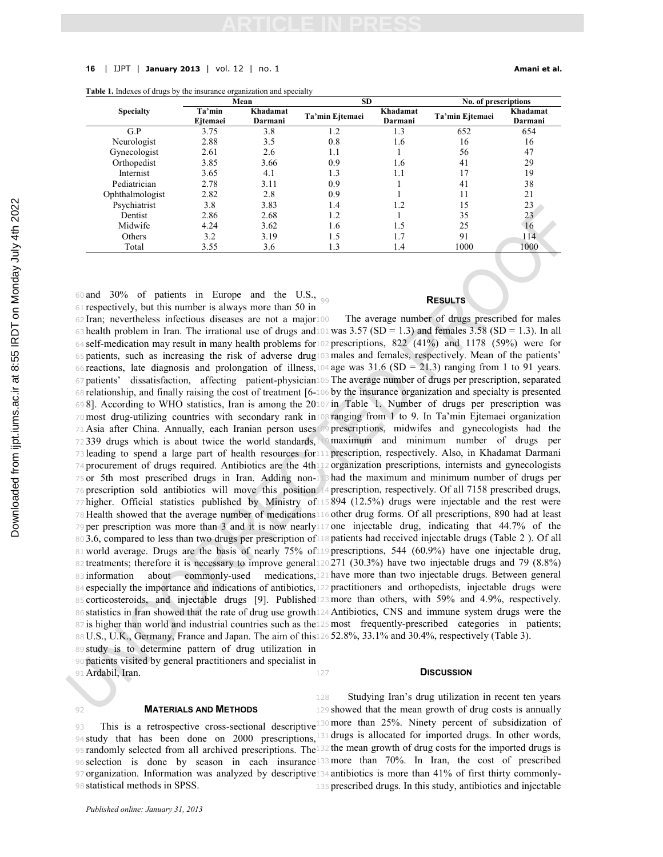#### **16** | IJPT | **January 2013** | vol. 12 | no. 1 **Amani et al.**

|  |  | <b>Table 1.</b> Indexes of drugs by the insurance organization and specialty |  |
|--|--|------------------------------------------------------------------------------|--|
|  |  |                                                                              |  |

|                  |                    | Mean                | <b>SD</b>       |                     | No. of prescriptions |                     |  |
|------------------|--------------------|---------------------|-----------------|---------------------|----------------------|---------------------|--|
| <b>Specialty</b> | Ta'min<br>Eitemaei | Khadamat<br>Darmani | Ta'min Ejtemaei | Khadamat<br>Darmani | Ta'min Ejtemaei      | Khadamat<br>Darmani |  |
| G.P              | 3.75               | 3.8                 | 1.2             | 1.3                 | 652                  | 654                 |  |
| Neurologist      | 2.88               | 3.5                 | 0.8             | 1.6                 | 16                   | 16                  |  |
| Gynecologist     | 2.61               | 2.6                 | 1.1             |                     | 56                   | 47                  |  |
| Orthopedist      | 3.85               | 3.66                | 0.9             | 1.6                 | 41                   | 29                  |  |
| Internist        | 3.65               | 4.1                 | 1.3             | 1.1                 | 17                   | 19                  |  |
| Pediatrician     | 2.78               | 3.11                | 0.9             |                     | 41                   | 38                  |  |
| Ophthalmologist  | 2.82               | 2.8                 | 0.9             |                     | 11                   | 21                  |  |
| Psychiatrist     | 3.8                | 3.83                | 1.4             | 1.2                 | 15                   | 23                  |  |
| Dentist          | 2.86               | 2.68                | 1.2             |                     | 35                   | 23                  |  |
| Midwife          | 4.24               | 3.62                | 1.6             | 1.5                 | 25                   | 16                  |  |
| Others           | 3.2                | 3.19                | 1.5             | 1.7                 | 91                   | 114                 |  |
| Total            | 3.55               | 3.6                 | 1.3             | 1.4                 | 1000                 | 1000                |  |

Downloaded from ijpt.iums.ac.ir at 8:55 IRDT on Monday July 4th 2022 [Downloaded from ijpt.iums.ac.ir at 8:55 IRDT on Monday July 4th 2022](http://ijpt.iums.ac.ir/article-1-253-en.html)

60 and 30% of patients in Europe and the U.S.,  $\frac{1}{99}$  respectively, but this number is always more than 50 in Iran; nevertheless infectious diseases are not a major <sup>100</sup> The average number of drugs prescribed for males health problem in Iran. The irrational use of drugs and  $101$  was 3.57 (SD = 1.3) and females 3.58 (SD = 1.3). In all self-medication may result in many health problems for <sup>102</sup> prescriptions, 822 (41%) and 1178 (59%) were for patients, such as increasing the risk of adverse drug <sup>103</sup>males and females, respectively. Mean of the patients' 66 reactions, late diagnosis and prolongation of illness,  $104$  age was  $31.6$  (SD = 21.3) ranging from 1 to 91 years. patients' dissatisfaction, affecting patient-physician <sup>105</sup> The average number of drugs per prescription, separated relationship, and finally raising the cost of treatment [6- <sup>106</sup> by the insurance organization and specialty is presented 8]. According to WHO statistics, Iran is among the 20 <sup>107</sup> in Table 1. Number of drugs per prescription was most drug-utilizing countries with secondary rank in <sup>108</sup> ranging from 1 to 9. In Ta'min Ejtemaei organization Asia after China. Annually, each Iranian person uses <sup>109</sup> prescriptions, midwifes and gynecologists had the 72 339 drugs which is about twice the world standards, 10 maximum and minimum number of drugs per leading to spend a large part of health resources for <sup>111</sup> prescription, respectively. Also, in Khadamat Darmani procurement of drugs required. Antibiotics are the 4th <sup>112</sup> organization prescriptions, internists and gynecologists or 5th most prescribed drugs in Iran. Adding non-<sup>113</sup> had the maximum and minimum number of drugs per prescription sold antibiotics will move this position <sup>114</sup> prescription, respectively. Of all 7158 prescribed drugs, higher. Official statistics published by Ministry of <sup>115</sup> 894 (12.5%) drugs were injectable and the rest were Health showed that the average number of medications <sup>116</sup> other drug forms. Of all prescriptions, 890 had at least per prescription was more than 3 and it is now nearly <sup>117</sup> one injectable drug, indicating that 44.7% of the 3.6, compared to less than two drugs per prescription of <sup>118</sup> patients had received injectable drugs (Table 2 ). Of all world average. Drugs are the basis of nearly 75% of <sup>119</sup> prescriptions, 544 (60.9%) have one injectable drug, treatments; therefore it is necessary to improve general <sup>120</sup> 271 (30.3%) have two injectable drugs and 79 (8.8%) 83 information about commonly-used medications, 121 have more than two injectable drugs. Between general especially the importance and indications of antibiotics, <sup>122</sup> practitioners and orthopedists, injectable drugs were corticosteroids, and injectable drugs [9]. Published <sup>123</sup>more than others, with 59% and 4.9%, respectively. statistics in Iran showed that the rate of drug use growth <sup>124</sup> Antibiotics, CNS and immune system drugs were the 87 is higher than world and industrial countries such as the 125 most frequently-prescribed categories in patients; 88 U.S., U.K., Germany, France and Japan. The aim of this 126 52.8%, 33.1% and 30.4%, respectively (Table 3). study is to determine pattern of drug utilization in

<sup>90</sup> patients visited by general practitioners and specialist in

<sup>91</sup> Ardabil, Iran.

### <sup>92</sup> **MATERIALS AND METHODS**

94 study that has been done on 2000 prescriptions, 131 drugs is allocated for imported drugs. In other words, 95 randomly selected from all archived prescriptions. The 132 the mean growth of drug costs for the imported drugs is <sup>96</sup> selection is done by season in each insurance <sup>133</sup>more than 70%. In Iran, the cost of prescribed <sup>97</sup> organization. Information was analyzed by descriptive <sup>134</sup> antibiotics is more than 41% of first thirty commonly-<sup>98</sup> statistical methods in SPSS.

## <sup>99</sup> **RESULTS**

### **D**ISCUSSION

93 This is a retrospective cross-sectional descriptive<sup>130</sup> more than 25%. Ninety percent of subsidization of Studying Iran's drug utilization in recent ten years showed that the mean growth of drug costs is annually prescribed drugs. In this study, antibiotics and injectable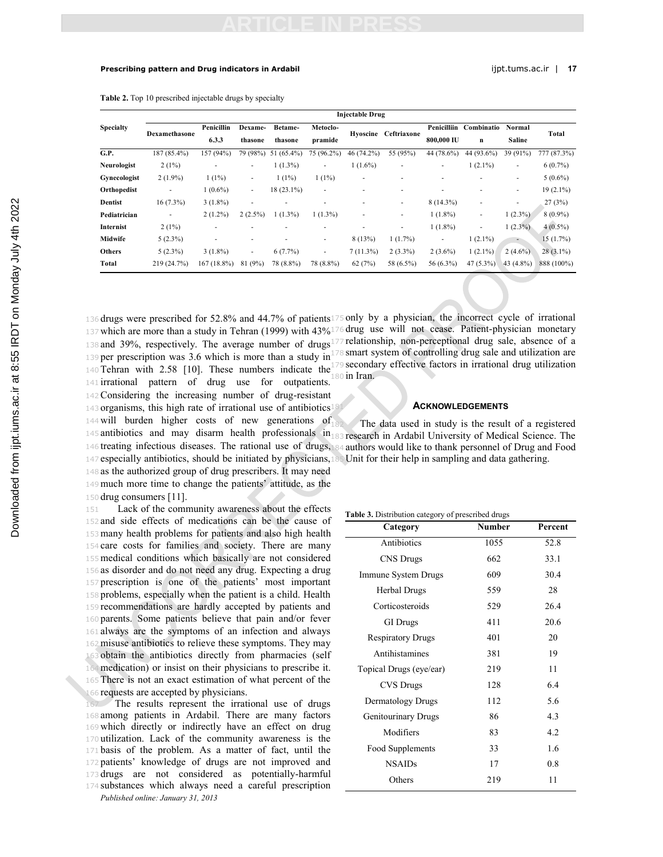#### **Prescribing pattern and Drug indicators in Ardabil intervalsion and Drug indicators in Ardabil** in the state of the state of the state of the state of the state of the state of the state of the state of the state of the s

**Table 2.** Top 10 prescribed injectable drugs by specialty

|                  | <b>Injectable Drug</b>   |                          |            |              |                          |                          |                      |              |             |                          |             |
|------------------|--------------------------|--------------------------|------------|--------------|--------------------------|--------------------------|----------------------|--------------|-------------|--------------------------|-------------|
| <b>Specialty</b> | Dexamethasone            | Penicillin               | Dexame-    | Betame-      | Metoclo-                 |                          | Hyoscine Ceftriaxone | Penicilliin  | Combinatio  | <b>Normal</b>            |             |
|                  |                          | 6.3.3                    | thasone    | thasone      | pramide                  |                          |                      | 800,000 IU   | n           | <b>Saline</b>            | Total       |
| G.P.             | 187 (85.4%)              | 157 (94%)                | 79 (98%)   | 51 (65.4%)   | 75 (96.2%)               | 46 (74.2%)               | 55 (95%)             | 44 (78.6%)   | 44 (93.6%)  | 39 (91%)                 | 777 (87.3%) |
| Neurologist      | $2(1\%)$                 | $\overline{\phantom{a}}$ | ۰          | $1(1.3\%)$   | ٠                        | $1(1.6\%)$               | ٠                    | ۰.           | $1(2.1\%)$  | ٠                        | $6(0.7\%)$  |
| Gynecologist     | $2(1.9\%)$               | $1(1\%)$                 | ٠          | $1(1\%)$     | $1(1\%)$                 | $\overline{\phantom{a}}$ | ۰                    |              |             | $\overline{\phantom{a}}$ | $5(0.6\%)$  |
| Orthopedist      | $\overline{\phantom{a}}$ | $1(0.6\%)$               | ٠          | $18(23.1\%)$ | $\overline{\phantom{a}}$ | $\overline{\phantom{a}}$ | ۰                    |              |             | $\overline{\phantom{a}}$ | $19(2.1\%)$ |
| <b>Dentist</b>   | $16(7.3\%)$              | $3(1.8\%)$               | ٠          | ۰            | ٠                        | ٠                        | ٠                    | $8(14.3\%)$  |             | $\overline{\phantom{a}}$ | 27(3%)      |
| Pediatrician     | ٠                        | $2(1.2\%)$               | $2(2.5\%)$ | $1(1.3\%)$   | $1(1.3\%)$               | $\overline{\phantom{a}}$ | ٠                    | $1(1.8\%)$   | ۰           | $1(2.3\%)$               | $8(0.9\%)$  |
| Internist        | $2(1\%)$                 | ٠                        |            |              | ٠                        | $\overline{\phantom{a}}$ | ٠                    | $1(1.8\%)$   | ۰           | $1(2.3\%)$               | $4(0.5\%)$  |
| Midwife          | $5(2.3\%)$               | $\overline{\phantom{a}}$ | ۰          |              | ٠                        | 8(13%)                   | 1(1.7%)              | ٠            | $1(2.1\%)$  | $\sim$                   | 15(1.7%)    |
| Others           | $5(2.3\%)$               | $3(1.8\%)$               | ٠          | 6(7.7%)      | $\overline{\phantom{a}}$ | 7(11.3%)                 | $2(3.3\%)$           | $2(3.6\%)$   | $1(2.1\%)$  | $2(4.6\%)$               | $28(3.1\%)$ |
| Total            | 219 (24.7%)              | $167(18.8\%)$            | (9%)<br>81 | 78 (8.8%)    | 78 (8.8%)                | 62(7%)                   | 58 (6.5%)            | 56 $(6.3\%)$ | $47(5.3\%)$ | 43 $(4.8\%)$             | 888 (100%)  |

 which are more than a study in Tehran (1999) with 43% <sup>176</sup> drug use will not cease. Patient-physician monetary and 39%, respectively. The average number of drugs <sup>177</sup> relationship, non-perceptional drug sale, absence of a 139 per prescription was 3.6 which is more than a study in<sup>178</sup> smart system of controlling drug sale and utilization are 140 Tehran with 2.58 [10]. These numbers indicate the<sup>1</sup> irrational pattern of drug use for outpatients. Considering the increasing number of drug-resistant organisms, this high rate of irrational use of antibiotics 144 will burden higher costs of new generations of 145 antibiotics and may disarm health professionals in 183 research in Ardabil University of Medical Science. The treating infectious diseases. The rational use of drugs, <sup>184</sup> authors would like to thank personnel of Drug and Food especially antibiotics, should be initiated by physicians, <sup>185</sup> Unit for their help in sampling and data gathering. as the authorized group of drug prescribers. It may need much more time to change the patients' attitude, as the

<sup>150</sup> drug consumers [11].

 Lack of the community awareness about the effects and side effects of medications can be the cause of many health problems for patients and also high health care costs for families and society. There are many medical conditions which basically are not considered as disorder and do not need any drug. Expecting a drug prescription is one of the patients' most important problems, especially when the patient is a child. Health recommendations are hardly accepted by patients and parents. Some patients believe that pain and/or fever always are the symptoms of an infection and always misuse antibiotics to relieve these symptoms. They may obtain the antibiotics directly from pharmacies (self medication) or insist on their physicians to prescribe it. There is not an exact estimation of what percent of the requests are accepted by physicians.

*Published online: January 31, 2013* The results represent the irrational use of drugs among patients in Ardabil. There are many factors which directly or indirectly have an effect on drug utilization. Lack of the community awareness is the basis of the problem. As a matter of fact, until the patients' knowledge of drugs are not improved and drugs are not considered as potentially-harmful substances which always need a careful prescription

<sup>136</sup> drugs were prescribed for 52.8% and 44.7% of patients <sup>175</sup> only by a physician, the incorrect cycle of irrational 9 secondary effective factors in irrational drug utilization o in Iran.

### <sup>181</sup> **ACKNOWLEDGEMENTS**

The data used in study is the result of a registered

#### **Table 3.** Distribution category of prescribed drugs

| Category                 | <b>Number</b> | Percent |
|--------------------------|---------------|---------|
| Antibiotics              | 1055          | 52.8    |
| <b>CNS</b> Drugs         | 662           | 33.1    |
| Immune System Drugs      | 609           | 30.4    |
| Herbal Drugs             | 559           | 28      |
| Corticosteroids          | 529           | 26.4    |
| <b>GI</b> Drugs          | 411           | 20.6    |
| <b>Respiratory Drugs</b> | 401           | 20      |
| Antihistamines           | 381           | 19      |
| Topical Drugs (eye/ear)  | 219           | 11      |
| CVS Drugs                | 128           | 64      |
| Dermatology Drugs        | 112           | 5.6     |
| Genitourinary Drugs      | 86            | 4.3     |
| Modifiers                | 83            | 4.2     |
| Food Supplements         | 33            | 1.6     |
| <b>NSAIDs</b>            | 17            | 0.8     |
| Others                   | 219           | 11      |